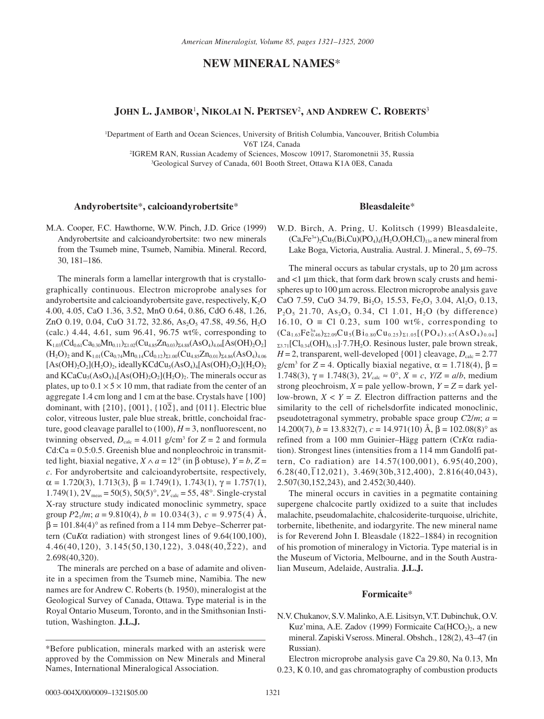# **NEW MINERAL NAMES**\*

## **JOHN L. JAMBOR**<sup>1</sup> **, NIKOLAI N. PERTSEV**<sup>2</sup> **, AND ANDREW C. ROBERTS**<sup>3</sup>

1 Department of Earth and Ocean Sciences, University of British Columbia, Vancouver, British Columbia

V6T 1Z4, Canada

2 IGREM RAN, Russian Academy of Sciences, Moscow 10917, Staromonetnii 35, Russia 3 Geological Survey of Canada, 601 Booth Street, Ottawa K1A 0E8, Canada

## **Andyrobertsite**\***, calcioandyrobertsite**\*

M.A. Cooper, F.C. Hawthorne, W.W. Pinch, J.D. Grice (1999) Andyrobertsite and calcioandyrobertsite: two new minerals from the Tsumeb mine, Tsumeb, Namibia. Mineral. Record, 30, 181–186.

The minerals form a lamellar intergrowth that is crystallographically continuous. Electron microprobe analyses for andyrobertsite and calcioandyrobertsite gave, respectively,  $K_2O$ 4.00, 4.05, CaO 1.36, 3.52, MnO 0.64, 0.86, CdO 6.48, 1.26, ZnO 0.19, 0.04, CuO 31.72, 32.86, As<sub>2</sub>O<sub>5</sub> 47.58, 49.56, H<sub>2</sub>O (calc.) 4.44, 4.61, sum 96.41, 96.75 wt%, corresponding to  $K_{1.03}(Cd_{0.61}Ca_{0.30}Mn_{0.11})_{\Sigma1.02}(Cu_{4.85}Zn_{0.03})_{\Sigma4.88}(AsO_4)_{4.04}[As(OH)_2O_2]$  $(H_2O)_2$  and  $K_{1.01}(Ca_{0.74}Mn_{0.14}Cd_{0.12})_{\Sigma1.00}(Cu_{4.85}Zn_{0.01})_{\Sigma4.86}(AsO_4)_{4.06}$  $[As(OH)<sub>2</sub>O<sub>2</sub>](H<sub>2</sub>O)<sub>2</sub>$ , ideallyKCdCu<sub>5</sub>(AsO<sub>4</sub>)<sub>4</sub>[As(OH)<sub>2</sub>O<sub>2</sub>](H<sub>2</sub>O)<sub>2</sub> and  $KCaCu<sub>5</sub>(AsO<sub>4</sub>)<sub>4</sub>[As(OH)<sub>2</sub>O<sub>2</sub>](H<sub>2</sub>O)<sub>2</sub>$ . The minerals occur as plates, up to  $0.1 \times 5 \times 10$  mm, that radiate from the center of an aggregate 1.4 cm long and 1 cm at the base. Crystals have {100} dominant, with  $\{210\}$ ,  $\{001\}$ ,  $\{10\overline{2}\}$ , and  $\{011\}$ . Electric blue color, vitreous luster, pale blue streak, brittle, conchoidal fracture, good cleavage parallel to  $(100)$ ,  $H = 3$ , nonfluorescent, no twinning observed,  $D_{\text{calc}} = 4.011 \text{ g/cm}^3$  for  $Z = 2$  and formula  $Cd:Ca = 0.5:0.5$ . Greenish blue and nonpleochroic in transmitted light, biaxial negative,  $X \wedge a = 12^\circ$  (in β obtuse),  $Y = b$ ,  $Z =$ *c*. For andyrobertsite and calcioandyrobertsite, respectively,  $\alpha = 1.720(3), 1.713(3), \beta = 1.749(1), 1.743(1), \gamma = 1.757(1),$  $1.749(1)$ ,  $2V_{meas} = 50(5)$ ,  $50(5)$ °,  $2V_{calc} = 55$ ,  $48$ °. Single-crystal X-ray structure study indicated monoclinic symmetry, space group  $P2_1/m$ ;  $a = 9.810(4)$ ,  $b = 10.034(3)$ ,  $c = 9.975(4)$  Å,  $β = 101.84(4)°$  as refined from a 114 mm Debye–Scherrer pattern (Cu*K*α radiation) with strongest lines of 9.64(100,100), 4.46(40,120), 3.145(50,130,122), 3.048(40, $\overline{2}$ 22), and 2.698(40,320).

The minerals are perched on a base of adamite and olivenite in a specimen from the Tsumeb mine, Namibia. The new names are for Andrew C. Roberts (b. 1950), mineralogist at the Geological Survey of Canada, Ottawa. Type material is in the Royal Ontario Museum, Toronto, and in the Smithsonian Institution, Washington. **J.L.J.**

## **Bleasdaleite**\*

W.D. Birch, A. Pring, U. Kolitsch (1999) Bleasdaleite,  $(Ca,Fe^{3+})$ , $Cu$ <sub>5</sub> $(Bi,Cu)$  $(PO_4)$ <sub>4</sub> $(H, O, OH,Cl)$ <sub>13</sub>, a new mineral from Lake Boga, Victoria, Australia. Austral. J. Mineral., 5, 69–75.

The mineral occurs as tabular crystals, up to 20 µm across and  $\lt 1$   $\mu$ m thick, that form dark brown scaly crusts and hemispheres up to 100  $\mu$ m across. Electron microprobe analysis gave CaO 7.59, CuO 34.79, Bi<sub>2</sub>O<sub>3</sub> 15.53, Fe<sub>2</sub>O<sub>3</sub> 3.04, Al<sub>2</sub>O<sub>3</sub> 0.13,  $P_2O_5$  21.70, As<sub>2</sub>O<sub>5</sub> 0.34, Cl 1.01, H<sub>2</sub>O (by difference) 16.10, O = Cl 0.23, sum 100 wt%, corresponding to  $(Ca_{1.63}Fe_{0.46}^{3+})_{\Sigma2.09}Cu_5(Bi_{0.80}Cu_{0.25})_{\Sigma1.05}[(PO_4)_{3.67}(AsO_4)_{0.04}]$  $_{\Sigma 3.71}$ [Cl<sub>0.34</sub>(OH)<sub>6.15</sub>]·7.7H<sub>2</sub>O. Resinous luster, pale brown streak,  $H = 2$ , transparent, well-developed {001} cleavage,  $D_{\text{calc}} = 2.77$ g/cm<sup>3</sup> for *Z* = 4. Optically biaxial negative,  $\alpha$  = 1.718(4),  $\beta$  = 1.748(3), γ = 1.748(3), 2*V*<sub>calc</sub> ≈ 0°, *X* = *c*, *Y*/*Z* = *a*/*b*, medium strong pleochroism,  $X =$  pale yellow-brown,  $Y = Z =$  dark yellow-brown,  $X < Y = Z$ . Electron diffraction patterns and the similarity to the cell of richelsdorfite indicated monoclinic, pseudotetragonal symmetry, probable space group *C*2/*m*; *a* = 14.200(7),  $b = 13.832(7)$ ,  $c = 14.971(10)$  Å,  $\beta = 102.08(8)$ ° as refined from a 100 mm Guinier–Hägg pattern (Cr*K*α radiation). Strongest lines (intensities from a 114 mm Gandolfi pattern, Co radiation) are 14.57(100,001), 6.95(40,200),  $6.28(40,\overline{1}12,021)$ ,  $3.469(30b,312,400)$ ,  $2.816(40,043)$ , 2.507(30,152,243), and 2.452(30,440).

The mineral occurs in cavities in a pegmatite containing supergene chalcocite partly oxidized to a suite that includes malachite, pseudomalachite, chalcosiderite-turquoise, ulrichite, torbernite, libethenite, and iodargyrite. The new mineral name is for Reverend John I. Bleasdale (1822–1884) in recognition of his promotion of mineralogy in Victoria. Type material is in the Museum of Victoria, Melbourne, and in the South Australian Museum, Adelaide, Australia. **J.L.J.**

#### **Formicaite**\*

N.V. Chukanov, S.V. Malinko, A.E. Lisitsyn, V.T. Dubinchuk, O.V. Kuz'mina, A.E. Zadov (1999) Formicaite Ca $(HCO<sub>2</sub>)<sub>2</sub>$ , a new mineral. Zapiski Vseross. Mineral. Obshch., 128(2), 43–47 (in Russian).

Electron microprobe analysis gave Ca 29.80, Na 0.13, Mn 0.23, K 0.10, and gas chromatography of combustion products

<sup>\*</sup>Before publication, minerals marked with an asterisk were approved by the Commission on New Minerals and Mineral Names, International Mineralogical Association.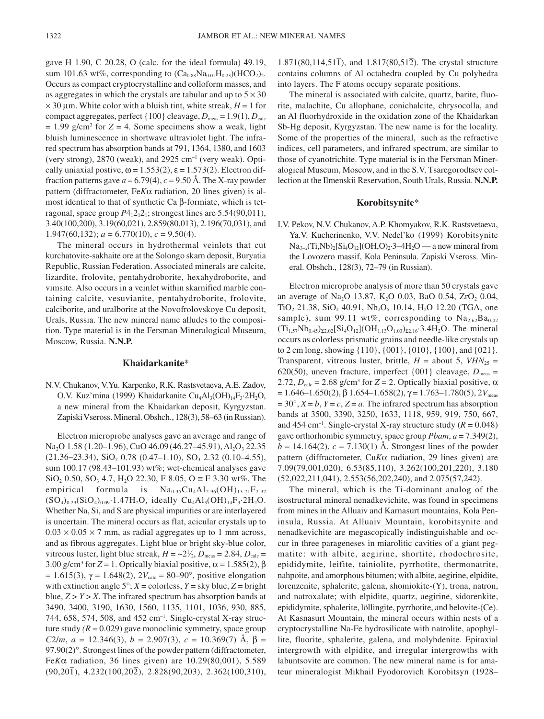gave H 1.90, C 20.28, O (calc. for the ideal formula) 49.19, sum 101.63 wt%, corresponding to  $(Ca_{0.88}Na_{0.01}H_{0.23})(HCO_2)_2$ . Occurs as compact cryptocrystalline and colloform masses, and as aggregates in which the crystals are tabular and up to  $5 \times 30$  $\times$  30 µm. White color with a bluish tint, white streak, *H* = 1 for compact aggregates, perfect  $\{100\}$  cleavage,  $D_{\text{meas}} = 1.9(1), D_{\text{calc}}$  $= 1.99$  g/cm<sup>3</sup> for  $Z = 4$ . Some specimens show a weak, light bluish luminescence in shortwave ultraviolet light. The infrared spectrum has absorption bands at 791, 1364, 1380, and 1603 (very strong),  $2870$  (weak), and  $2925$  cm<sup>-1</sup> (very weak). Optically uniaxial postive,  $\omega = 1.553(2)$ ,  $\varepsilon = 1.573(2)$ . Electron diffraction patterns gave  $a = 6.79(4)$ ,  $c = 9.50 \text{ Å}$ . The X-ray powder pattern (diffractometer, Fe*K*α radiation, 20 lines given) is almost identical to that of synthetic Ca β-formiate, which is tetragonal, space group  $P_12_12_1$ ; strongest lines are  $5.54(90,011)$ , 3.40(100,200), 3.19(60,021), 2.859(80,013), 2.196(70,031), and 1.947(60,132);  $a = 6.770(10)$ ,  $c = 9.50(4)$ .

The mineral occurs in hydrothermal veinlets that cut kurchatovite-sakhaite ore at the Solongo skarn deposit, Buryatia Republic, Russian Federation. Associated minerals are calcite, lizardite, frolovite, pentahydroborite, hexahydroborite, and vimsite. Also occurs in a veinlet within skarnified marble containing calcite, vesuvianite, pentahydroborite, frolovite, calciborite, and uralborite at the Novofrolovskoye Cu deposit, Urals, Russia. The new mineral name alludes to the composition. Type material is in the Fersman Mineralogical Museum, Moscow, Russia. **N.N.P.**

## **Khaidarkanite**\*

N.V. Chukanov, V.Yu. Karpenko, R.K. Rastsvetaeva, A.E. Zadov, O.V. Kuz'mina (1999) Khaidarkanite Cu<sub>4</sub>Al<sub>3</sub>(OH)<sub>14</sub>F<sub>3</sub>·2H<sub>2</sub>O, a new mineral from the Khaidarkan deposit, Kyrgyzstan. Zapiski Vseross. Mineral. Obshch., 128(3), 58–63 (in Russian).

Electron microprobe analyses gave an average and range of Na<sub>2</sub>O 1.58 (1.20–1.96), CuO 46.09 (46.27–45.91), Al<sub>2</sub>O<sub>3</sub> 22.35  $(21.36-23.34),$  SiO<sub>2</sub> 0.78  $(0.47-1.10),$  SO<sub>3</sub> 2.32  $(0.10-4.55),$ sum 100.17 (98.43–101.93) wt%; wet-chemical analyses gave SiO<sub>2</sub> 0.50, SO<sub>3</sub> 4.7, H<sub>2</sub>O 22.30, F 8.05, O  $\equiv$  F 3.30 wt%. The empirical formula is  $Na<sub>0.35</sub>Cu<sub>4</sub>Al<sub>2.96</sub>(OH)<sub>13.71</sub>F<sub>2.92</sub>$  $(SO_4)_{0.29}(SiO_4)_{0.09} \cdot 1.47H_2O$ , ideally  $Cu_4Al_3(OH)_{14}F_3 \cdot 2H_2O$ . Whether Na, Si, and S are physical impurities or are interlayered is uncertain. The mineral occurs as flat, acicular crystals up to  $0.03 \times 0.05 \times 7$  mm, as radial aggregates up to 1 mm across, and as fibrous aggregates. Light blue or bright sky-blue color, vitreous luster, light blue streak,  $H = \frac{21}{2}$ ,  $D_{\text{meas}} = 2.84$ ,  $D_{\text{calc}} =$ 3.00 g/cm<sup>3</sup> for  $Z = 1$ . Optically biaxial positive,  $\alpha = 1.585(2)$ ,  $\beta$ = 1.615(3),  $\gamma$  = 1.648(2), 2*V*<sub>calc</sub> = 80–90°, positive elongation with extinction angle  $5^\circ$ ;  $X =$  colorless,  $Y =$  sky blue,  $Z =$  bright blue,  $Z > Y > X$ . The infrared spectrum has absorption bands at 3490, 3400, 3190, 1630, 1560, 1135, 1101, 1036, 930, 885, 744, 658, 574, 508, and 452 cm–1 . Single-crystal X-ray structure study  $(R = 0.029)$  gave monoclinic symmetry, space group *C*2/*m*, *a* = 12.346(3), *b* = 2.907(3), *c* = 10.369(7) Å, β = 97.90(2)°. Strongest lines of the powder pattern (diffractometer, Fe*K*α radiation, 36 lines given) are 10.29(80,001), 5.589 (90,201– ), 4.232(100,202– ), 2.828(90,203), 2.362(100,310),

 $1.871(80, 114, 51\bar{1})$ , and  $1.817(80, 51\bar{2})$ . The crystal structure contains columns of Al octahedra coupled by Cu polyhedra into layers. The F atoms occupy separate positions.

The mineral is associated with calcite, quartz, barite, fluorite, malachite, Cu allophane, conichalcite, chrysocolla, and an Al fluorhydroxide in the oxidation zone of the Khaidarkan Sb-Hg deposit, Kyrgyzstan. The new name is for the locality. Some of the properties of the mineral, such as the refractive indices, cell parameters, and infrared spectrum, are similar to those of cyanotrichite. Type material is in the Fersman Mineralogical Museum, Moscow, and in the S.V. Tsaregorodtsev collection at the Ilmenskii Reservation, South Urals, Russia. **N.N.P.**

#### **Korobitsynite**\*

I.V. Pekov, N.V. Chukanov, A.P. Khomyakov, R.K. Rastsvetaeva, Ya.V. Kucherinenko, V.V. Nedel'ko (1999) Korobitsynite  $Na_{3-x}(Ti,Nb)_{2}[Si_{4}O_{12}](OH,O)_{2}\cdot3-4H_{2}O$  — a new mineral from the Lovozero massif, Kola Peninsula. Zapiski Vseross. Mineral. Obshch., 128(3), 72–79 (in Russian).

Electron microprobe analysis of more than 50 crystals gave an average of Na<sub>2</sub>O 13.87, K<sub>2</sub>O 0.03, BaO 0.54, ZrO<sub>2</sub> 0.04, TiO<sub>2</sub> 21.38, SiO<sub>2</sub> 40.91, Nb<sub>2</sub>O<sub>5</sub> 10.14, H<sub>2</sub>O 12.20 (TGA, one sample), sum 99.11 wt%, corresponding to  $Na<sub>2.62</sub>Ba<sub>0.02</sub>$  $(Ti_{1.57}Nb_{0.45})_{\Sigma2.02}[Si_4O_{12}](OH_{1.13}O_{1.03})_{\Sigma2.16}\cdot 3.4H_2O$ . The mineral occurs as colorless prismatic grains and needle-like crystals up to 2 cm long, showing {110}, {001}, {010}, {100}, and {021}. Transparent, vitreous luster, brittle,  $H =$  about 5,  $VHN_{25} =$ 620(50), uneven fracture, imperfect  $\{001\}$  cleavage,  $D_{\text{meas}} =$ 2.72,  $D_{\text{calc}} = 2.68$  g/cm<sup>3</sup> for  $Z = 2$ . Optically biaxial positive,  $\alpha$  $= 1.646 - 1.650(2)$ , β 1.654–1.658(2), γ = 1.763–1.780(5), 2*V*<sub>meas</sub>  $= 30^\circ$ ,  $X = b$ ,  $Y = c$ ,  $Z = a$ . The infrared spectrum has absorption bands at 3500, 3390, 3250, 1633, 1118, 959, 919, 750, 667, and 454 cm<sup>-1</sup>. Single-crystal X-ray structure study  $(R = 0.048)$ gave orthorhombic symmetry, space group *Pbam*, *a* = 7.349(2),  $b = 14.164(2), c = 7.130(1)$  Å. Strongest lines of the powder pattern (diffractometer, Cu*K*α radiation, 29 lines given) are 7.09(79,001,020), 6.53(85,110), 3.262(100,201,220), 3.180 (52,022,211,041), 2.553(56,202,240), and 2.075(57,242).

The mineral, which is the Ti-dominant analog of the isostructural mineral nenadkevichite, was found in specimens from mines in the Alluaiv and Karnasurt mountains, Kola Peninsula, Russia. At Alluaiv Mountain, korobitsynite and nenadkevichite are megascopically indistinguishable and occur in three parageneses in miarolitic cavities of a giant pegmatite: with albite, aegirine, shortite, rhodochrosite, epididymite, leifite, tainiolite, pyrrhotite, thermonatrite, nahpoite, and amorphous bitumen; with albite, aegirine, elpidite, lorenzenite, sphalerite, galena, shomiokite-(Y), trona, natron, and natroxalate; with elpidite, quartz, aegirine, sidorenkite, epididymite, sphalerite, löllingite, pyrrhotite, and belovite-(Ce). At Kasnasurt Mountain, the mineral occurs within nests of a cryptocrystalline Na-Fe hydrosilicate with natrolite, apophyllite, fluorite, sphalerite, galena, and molybdenite. Epitaxial intergrowth with elpidite, and irregular intergrowths with labuntsovite are common. The new mineral name is for amateur mineralogist Mikhail Fyodorovich Korobitsyn (1928–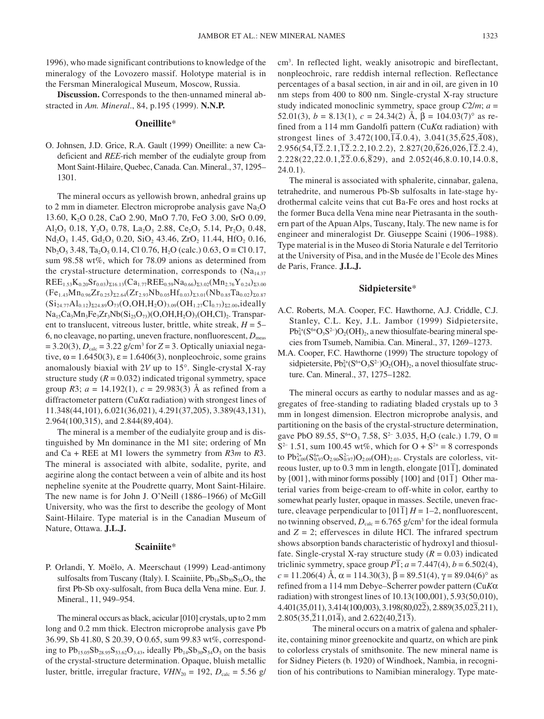1996), who made significant contributions to knowledge of the mineralogy of the Lovozero massif. Holotype material is in the Fersman Mineralogical Museum, Moscow, Russia.

**Discussion.** Corresponds to the then-unnamed mineral abstracted in *Am. Mineral*., 84, p.195 (1999). **N.N.P.**

#### **Oneillite**\*

O. Johnsen, J.D. Grice, R.A. Gault (1999) Oneillite: a new Cadeficient and *REE*-rich member of the eudialyte group from Mont Saint-Hilaire, Quebec, Canada. Can. Mineral., 37, 1295– 1301.

The mineral occurs as yellowish brown, anhedral grains up to 2 mm in diameter. Electron microprobe analysis gave  $Na<sub>2</sub>O$ 13.60, K2O 0.28, CaO 2.90, MnO 7.70, FeO 3.00, SrO 0.09, Al<sub>2</sub>O<sub>3</sub> 0.18, Y<sub>2</sub>O<sub>3</sub> 0.78, La<sub>2</sub>O<sub>3</sub> 2.88, Ce<sub>2</sub>O<sub>3</sub> 5.14, Pr<sub>2</sub>O<sub>3</sub> 0.48,  $Nd<sub>2</sub>O<sub>3</sub> 1.45, Gd<sub>2</sub>O<sub>3</sub> 0.20, SiO<sub>2</sub> 43.46, ZrO<sub>2</sub> 11.44, HfO<sub>2</sub> 0.16,$  $Nb<sub>2</sub>O<sub>5</sub> 3.48, Ta<sub>2</sub>O<sub>5</sub> 0.14, Cl 0.76, H<sub>2</sub>O (calc.) 0.63, O = Cl 0.17,$ sum 98.58 wt%, which for 78.09 anions as determined from the crystal-structure determination, corresponds to  $(Na<sub>14.37</sub>)$  $REE_{1.53}K_{0.20}Sr_{0.03}S_{16.13}(Ca_{1.77}REE_{0.59}Na_{0.66}S_{23.02}(Mn_{2.76}Y_{0.24}S_{23.00}$  $(Fe_{1.43}Mn_{0.96}Zr_{0.25})_{\Sigma2.64}(Zr_{2.93}Nb_{0.05}Hf_{0.03})_{\Sigma3.01}(Nb_{0.85}Ta_{0.02})_{\Sigma0.87}$  $(Si_{24.77}Al_{0.12})_{\Sigma24.89}O_{73}(O,OH,H_2O)_{3.09}(OH_{1.27}Cl_{0.73})_{\Sigma2.00}$ ,ideally Na<sub>15</sub>Ca<sub>3</sub>Mn<sub>3</sub>Fe<sub>3</sub>Zr<sub>3</sub>Nb(Si<sub>25</sub>O<sub>73</sub>)(O,OH,H<sub>2</sub>O)<sub>3</sub>(OH,Cl)<sub>2</sub>. Transparent to translucent, vitreous luster, brittle, white streak, *H* = 5– 6, no cleavage, no parting, uneven fracture, nonfluorescent,  $D_{\text{meas}}$  $= 3.20(3)$ ,  $D_{\text{calc}} = 3.22$  g/cm<sup>3</sup> for  $Z = 3$ . Optically uniaxial negative,  $\omega$  = 1.6450(3),  $\varepsilon$  = 1.6406(3), nonpleochroic, some grains anomalously biaxial with 2*V* up to 15°. Single-crystal X-ray structure study  $(R = 0.032)$  indicated trigonal symmetry, space group *R*3; *a* = 14.192(1), *c* = 29.983(3) Å as refined from a diffractometer pattern (Cu*K*α radiation) with strongest lines of 11.348(44,101), 6.021(36,021), 4.291(37,205), 3.389(43,131), 2.964(100,315), and 2.844(89,404).

The mineral is a member of the eudialyite group and is distinguished by Mn dominance in the M1 site; ordering of Mn and Ca + REE at M1 lowers the symmetry from *R*3*m* to *R*3. The mineral is associated with albite, sodalite, pyrite, and aegirine along the contact between a vein of albite and its host nepheline syenite at the Poudrette quarry, Mont Saint-Hilaire. The new name is for John J. O'Neill (1886–1966) of McGill University, who was the first to describe the geology of Mont Saint-Hilaire. Type material is in the Canadian Museum of Nature, Ottawa. **J.L.J.**

## **Scainiite**\*

P. Orlandi, Y. Moëlo, A. Meerschaut (1999) Lead-antimony sulfosalts from Tuscany (Italy). I. Scainiite,  $Pb_{14}Sb_{30}S_{54}O_5$ , the first Pb-Sb oxy-sulfosalt, from Buca della Vena mine. Eur. J. Mineral., 11, 949–954.

The mineral occurs as black, acicular [010] crystals, up to 2 mm long and 0.2 mm thick. Electron microprobe analysis gave Pb 36.99, Sb 41.80, S 20.39, O 0.65, sum 99.83 wt%, corresponding to  $Pb_{15.05}Sb_{28.95}S_{53.62}O_{3.43}$ , ideally  $Pb_{14}Sb_{30}S_{54}O_5$  on the basis of the crystal-structure determination. Opaque, bluish metallic luster, brittle, irregular fracture,  $VHN_{20} = 192$ ,  $D_{\text{calc}} = 5.56$  g/

cm3 . In reflected light, weakly anisotropic and bireflectant, nonpleochroic, rare reddish internal reflection. Reflectance percentages of a basal section, in air and in oil, are given in 10 nm steps from 400 to 800 nm. Single-crystal X-ray structure study indicated monoclinic symmetry, space group *C*2/*m*; *a* = 52.01(3),  $b = 8.13(1)$ ,  $c = 24.34(2)$  Å,  $\beta = 104.03(7)$ ° as refined from a 114 mm Gandolfi pattern (Cu*K*α radiation) with strongest lines of  $3.472(100, \overline{14}.0.4)$ ,  $3.041(35, \overline{625}, \overline{408})$ ,  $2.956(54, \overline{12}.2.1, \overline{12}.2.2, 10.2.2), 2.827(20, \overline{626}, 0.26, \overline{12}.2.4),$  $2.228(22,22.0.1, \overline{22}.0.6, \overline{8}29)$ , and  $2.052(46, 8.0.10, 14.0.8)$  $24.0.1$ ).

The mineral is associated with sphalerite, cinnabar, galena, tetrahedrite, and numerous Pb-Sb sulfosalts in late-stage hydrothermal calcite veins that cut Ba-Fe ores and host rocks at the former Buca della Vena mine near Pietrasanta in the southern part of the Apuan Alps, Tuscany, Italy. The new name is for engineer and mineralogist Dr. Giuseppe Scaini (1906–1988). Type material is in the Museo di Storia Naturale e del Territorio at the University of Pisa, and in the Musée de l'Ecole des Mines de Paris, France. **J.L.J.**

## **Sidpietersite**\*

- A.C. Roberts, M.A. Cooper, F.C. Hawthorne, A.J. Criddle, C.J. Stanley, C.L. Key, J.L. Jambor (1999) Sidpietersite,  $Pb_{4}^{2+}(S^{6+}O_{3}S^{2-})O_{2}(OH)_{2}$ , a new thiosulfate-bearing mineral species from Tsumeb, Namibia. Can. Mineral., 37, 1269–1273.
- M.A. Cooper, F.C. Hawthorne (1999) The structure topology of sidpietersite,  $Pb_4^{2+}(S^{6+}O_3S^{2-})O_2(OH)_2$ , a novel thiosulfate structure. Can. Mineral., 37, 1275–1282.

The mineral occurs as earthy to nodular masses and as aggregates of free-standing to radiating bladed crystals up to 3 mm in longest dimension. Electron microprobe analysis, and partitioning on the basis of the crystal-structure determination, gave PbO 89.55,  $S^{6+}O_3$  7.58,  $S^{2-}$  3.035, H<sub>2</sub>O (calc.) 1.79, O  $\equiv$  $S^{2-}$  1.51, sum 100.45 wt%, which for O +  $S^{2+}$  = 8 corresponds to  $Pb_{4.09}^{2+}(S_{0.97}^{6+}O_{2.90}S_{0.97}^{2-})O_{2.09}(OH)_{2.03}$ . Crystals are colorless, vitreous luster, up to 0.3 mm in length, elongate [01 $\overline{1}$ ], dominated by  $\{001\}$ , with minor forms possibly  $\{100\}$  and  $\{01\}$ . Other material varies from beige-cream to off-white in color, earthy to somewhat pearly luster, opaque in masses. Sectile, uneven fracture, cleavage perpendicular to  $[01\bar{1}]$   $H = 1-2$ , nonfluorescent, no twinning observed,  $D_{\text{calc}} = 6.765$  g/cm<sup>3</sup> for the ideal formula and  $Z = 2$ ; effervesces in dilute HCl. The infrared spectrum shows absorption bands characteristic of hydroxyl and thiosulfate. Single-crystal X-ray structure study  $(R = 0.03)$  indicated triclinic symmetry, space group  $P\overline{1}$ ;  $a = 7.447(4)$ ,  $b = 6.502(4)$ , *c* = 11.206(4) Å,  $\alpha$  = 114.30(3),  $\beta$  = 89.51(4),  $\gamma$  = 89.04(6)° as refined from a 114 mm Debye–Scherrer powder pattern (Cu*K*α radiation) with strongest lines of 10.13(100,001), 5.93(50,010),  $4.401(35,011), 3.414(100,003), 3.198(80,022), 2.889(35,023,211),$  $2.805(35,211,01\overline{4})$ , and  $2.622(40,21\overline{3})$ .

The mineral occurs on a matrix of galena and sphalerite, containing minor greenockite and quartz, on which are pink to colorless crystals of smithsonite. The new mineral name is for Sidney Pieters (b. 1920) of Windhoek, Nambia, in recognition of his contributions to Namibian mineralogy. Type mate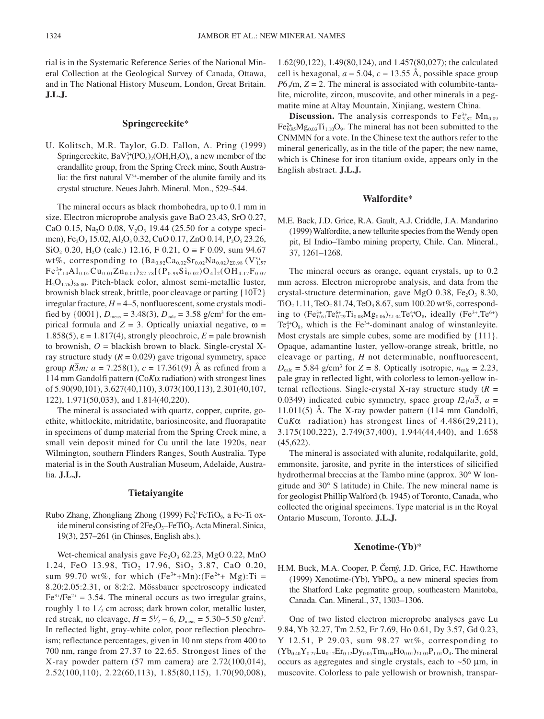rial is in the Systematic Reference Series of the National Mineral Collection at the Geological Survey of Canada, Ottawa, and in The National History Museum, London, Great Britain. **J.L.J.**

## **Springcreekite**\*

U. Kolitsch, M.R. Taylor, G.D. Fallon, A. Pring (1999) Springcreekite,  $BaV<sub>3</sub><sup>3+</sup>(PO<sub>4</sub>)<sub>2</sub>(OH,H<sub>2</sub>O)<sub>6</sub>$ , a new member of the crandallite group, from the Spring Creek mine, South Australia: the first natural  $V^{3+}$ -member of the alunite family and its crystal structure. Neues Jahrb. Mineral. Mon., 529–544.

The mineral occurs as black rhombohedra, up to 0.1 mm in size. Electron microprobe analysis gave BaO 23.43, SrO 0.27, CaO 0.15, Na<sub>2</sub>O 0.08, V<sub>2</sub>O<sub>3</sub> 19.44 (25.50 for a cotype specimen), Fe<sub>2</sub>O<sub>3</sub> 15.02, Al<sub>2</sub>O<sub>3</sub> 0.32, CuO 0.17, ZnO 0.14, P<sub>2</sub>O<sub>5</sub> 23.26, SiO<sub>2</sub> 0.20, H<sub>2</sub>O (calc.) 12.16, F 0.21, O = F 0.09, sum 94.67 wt%, corresponding to  $(Ba_{0.92}Ca_{0.02}Sr_{0.02}Na_{0.02})_{\Sigma 0.98}$  (V<sup>3+</sup><sub>1.57</sub>)  ${\rm Fe}^{3+}_{1.14}{\rm Al}_{0.05}{\rm Cu}_{0.01}{\rm Zn}_{0.01})_{\Sigma2.78}$ [(P $_{0.99}{\rm Si}_{0.02}{\rm O}_{4}$ ]2(OH $_{4.17}{\rm F}_{0.07}$  $H_2O_{1.76}$ )<sub> $\Sigma6.00$ </sub>. Pitch-black color, almost semi-metallic luster,  $\frac{1}{2}$ O<sub>1.092800</sub>. Their black streak, brittle, poor cleavage or parting  $\{10\overline{1}2\}$ irregular fracture,  $H = 4-5$ , nonfluorescent, some crystals modified by  $\{0001\}$ ,  $D_{\text{meas}} = 3.48(3)$ ,  $D_{\text{calc}} = 3.58$  g/cm<sup>3</sup> for the empirical formula and  $Z = 3$ . Optically uniaxial negative,  $\omega =$ 1.858(5),  $\varepsilon$  = 1.817(4), strongly pleochroic,  $E$  = pale brownish to brownish,  $O =$  blackish brown to black. Single-crystal Xray structure study  $(R = 0.029)$  gave trigonal symmetry, space group  $R\overline{3}m$ ;  $a = 7.258(1)$ ,  $c = 17.361(9)$  Å as refined from a 114 mm Gandolfi pattern (Co*K*α radiation) with strongest lines of 5.90(90,101), 3.627(40,110), 3.073(100,113), 2.301(40,107, 122), 1.971(50,033), and 1.814(40,220).

The mineral is associated with quartz, copper, cuprite, goethite, whitlockite, mitridatite, bariosincosite, and fluorapatite in specimens of dump material from the Spring Creek mine, a small vein deposit mined for Cu until the late 1920s, near Wilmington, southern Flinders Ranges, South Australia. Type material is in the South Australian Museum, Adelaide, Australia. **J.L.J.**

#### **Tietaiyangite**

Rubo Zhang, Zhongliang Zhong (1999) Fe<sup>3+</sup>FeTiO<sub>9</sub>, a Fe-Ti oxide mineral consisting of  $2Fe<sub>2</sub>O<sub>3</sub>$ –FeTiO<sub>3</sub>. Acta Mineral. Sinica, 19(3), 257–261 (in Chinses, English abs.).

Wet-chemical analysis gave  $Fe<sub>2</sub>O<sub>3</sub>$  62.23, MgO 0.22, MnO 1.24, FeO 13.98, TiO<sub>2</sub> 17.96, SiO<sub>2</sub> 3.87, CaO 0.20, sum 99.70 wt%, for which  $(Fe^{3+}+Mn):(Fe^{2+}+Mg):Ti =$ 8.20:2.05:2.31, or 8:2:2. Mössbauer spectroscopy indicated  $Fe<sup>3+</sup>/Fe<sup>2+</sup> = 3.54$ . The mineral occurs as two irregular grains, roughly 1 to  $1\frac{1}{2}$  cm across; dark brown color, metallic luster, red streak, no cleavage,  $H = 5\frac{1}{2} - 6$ ,  $D_{\text{meas}} = 5.30 - 5.50$  g/cm<sup>3</sup>. In reflected light, gray-white color, poor reflection pleochroism; reflectance percentages, given in 10 nm steps from 400 to 700 nm, range from 27.37 to 22.65. Strongest lines of the X-ray powder pattern (57 mm camera) are 2.72(100,014), 2.52(100,110), 2.22(60,113), 1.85(80,115), 1.70(90,008),

1.62(90,122), 1.49(80,124), and 1.457(80,027); the calculated cell is hexagonal,  $a = 5.04$ ,  $c = 13.55$  Å, possible space group  $P6\sqrt{m}$ ,  $Z = 2$ . The mineral is associated with columbite-tantalite, microlite, zircon, muscovite, and other minerals in a pegmatite mine at Altay Mountain, Xinjiang, western China.

**Discussion.** The analysis corresponds to  $Fe^{3+}_{3.82}$   $Mn_{0.09}$  $\text{Fe}_{0.95}^{2+}\text{Mg}_{0.03}\text{Ti}_{1.10}\text{O}_9$ . The mineral has not been submitted to the CNMMN for a vote. In the Chinese text the authors refer to the mineral generically, as in the title of the paper; the new name, which is Chinese for iron titanium oxide, appears only in the English abstract. **J.L.J.**

## **Walfordite**\*

M.E. Back, J.D. Grice, R.A. Gault, A.J. Criddle, J.A. Mandarino (1999) Walfordite, a new tellurite species from the Wendy open pit, El Indio–Tambo mining property, Chile. Can. Mineral., 37, 1261–1268.

The mineral occurs as orange, equant crystals, up to 0.2 mm across. Electron microprobe analysis, and data from the crystal-structure determination, gave MgO 0.38,  $Fe<sub>2</sub>O<sub>3</sub> 8.30$ , TiO<sub>2</sub> 1.11, TeO<sub>2</sub> 81.74, TeO<sub>3</sub> 8.67, sum 100.20 wt%, corresponding to  $(Fe^{3+}_{0.61}Te^{6+}_{0.29}Ti_{0.08}Mg_{0.06})_{\Sigma1.04}Te^{4+}_{3}O_8$ , ideally  $(Fe^{3+},Te^{6+})$ Te $3^4$ O<sub>8</sub>, which is the Fe<sup>3+</sup>-dominant analog of winstanleyite. Most crystals are simple cubes, some are modified by {111}. Opaque, adamantine luster, yellow-orange streak, brittle, no cleavage or parting, *H* not determinable, nonfluorescent,  $D_{\text{calc}} = 5.84$  g/cm<sup>3</sup> for  $Z = 8$ . Optically isotropic,  $n_{\text{calc}} = 2.23$ , pale gray in reflected light, with colorless to lemon-yellow internal reflections. Single-crystal X-ray structure study (*R* = 0.0349) indicated cubic symmetry, space group  $I2_1/a\overline{3}$ ,  $a =$ 11.011(5) Å. The X-ray powder pattern (114 mm Gandolfi, Cu*K*α radiation) has strongest lines of 4.486(29,211), 3.175(100,222), 2.749(37,400), 1.944(44,440), and 1.658 (45,622).

The mineral is associated with alunite, rodalquilarite, gold, emmonsite, jarosite, and pyrite in the interstices of silicified hydrothermal breccias at the Tambo mine (approx. 30° W longitude and 30° S latitude) in Chile. The new mineral name is for geologist Phillip Walford (b. 1945) of Toronto, Canada, who collected the original specimens. Type material is in the Royal Ontario Museum, Toronto. **J.L.J.**

## **Xenotime-(Yb)**\*

H.M. Buck, M.A. Cooper, P. Cerny, J.D. Grice, F.C. Hawthorne (1999) Xenotime-(Yb), YbPO<sub>4</sub>, a new mineral species from the Shatford Lake pegmatite group, southeastern Manitoba, Canada. Can. Mineral., 37, 1303–1306.

One of two listed electron microprobe analyses gave Lu 9.84, Yb 32.27, Tm 2.52, Er 7.69, Ho 0.61, Dy 3.57, Gd 0.23, Y 12.51, P 29.03, sum 98.27 wt%, corresponding to  $(Yb_{0.40}Y_{0.27}Lu_{0.12}Er_{0.12}Dy_{0.05}Tm_{0.04}Ho_{0.01}Z_{1.01}P_{1.01}O_4$ . The mineral occurs as aggregates and single crystals, each to  $\sim$  50  $\mu$ m, in muscovite. Colorless to pale yellowish or brownish, transpar